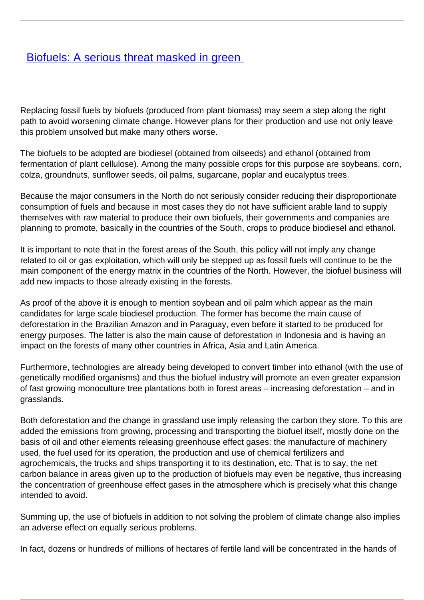## [Biofuels: A serious threat masked in green](/bulletin-articles/biofuels-a-serious-threat-masked-in-green)

Replacing fossil fuels by biofuels (produced from plant biomass) may seem a step along the right path to avoid worsening climate change. However plans for their production and use not only leave this problem unsolved but make many others worse.

The biofuels to be adopted are biodiesel (obtained from oilseeds) and ethanol (obtained from fermentation of plant cellulose). Among the many possible crops for this purpose are soybeans, corn, colza, groundnuts, sunflower seeds, oil palms, sugarcane, poplar and eucalyptus trees.

Because the major consumers in the North do not seriously consider reducing their disproportionate consumption of fuels and because in most cases they do not have sufficient arable land to supply themselves with raw material to produce their own biofuels, their governments and companies are planning to promote, basically in the countries of the South, crops to produce biodiesel and ethanol.

It is important to note that in the forest areas of the South, this policy will not imply any change related to oil or gas exploitation, which will only be stepped up as fossil fuels will continue to be the main component of the energy matrix in the countries of the North. However, the biofuel business will add new impacts to those already existing in the forests.

As proof of the above it is enough to mention soybean and oil palm which appear as the main candidates for large scale biodiesel production. The former has become the main cause of deforestation in the Brazilian Amazon and in Paraguay, even before it started to be produced for energy purposes. The latter is also the main cause of deforestation in Indonesia and is having an impact on the forests of many other countries in Africa, Asia and Latin America.

Furthermore, technologies are already being developed to convert timber into ethanol (with the use of genetically modified organisms) and thus the biofuel industry will promote an even greater expansion of fast growing monoculture tree plantations both in forest areas – increasing deforestation – and in grasslands.

Both deforestation and the change in grassland use imply releasing the carbon they store. To this are added the emissions from growing, processing and transporting the biofuel itself, mostly done on the basis of oil and other elements releasing greenhouse effect gases: the manufacture of machinery used, the fuel used for its operation, the production and use of chemical fertilizers and agrochemicals, the trucks and ships transporting it to its destination, etc. That is to say, the net carbon balance in areas given up to the production of biofuels may even be negative, thus increasing the concentration of greenhouse effect gases in the atmosphere which is precisely what this change intended to avoid.

Summing up, the use of biofuels in addition to not solving the problem of climate change also implies an adverse effect on equally serious problems.

In fact, dozens or hundreds of millions of hectares of fertile land will be concentrated in the hands of